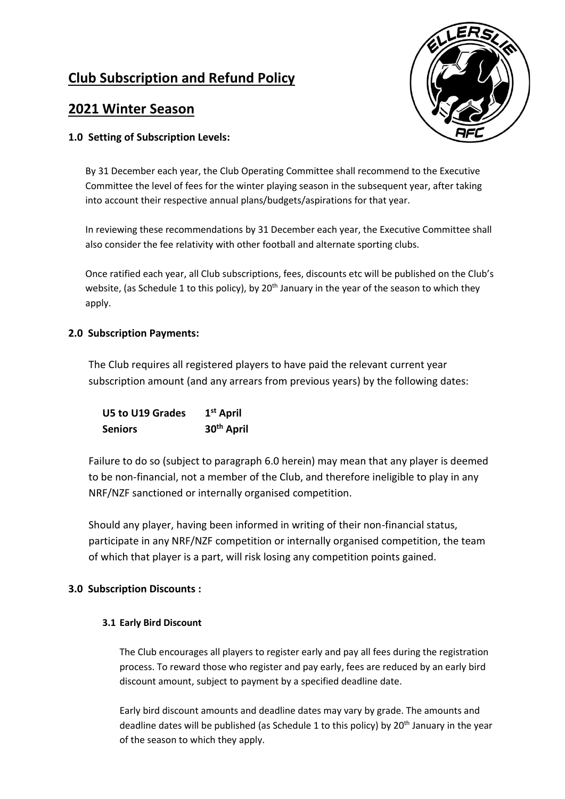# **Club Subscription and Refund Policy**

## **2021 Winter Season**

## **1.0 Setting of Subscription Levels:**



By 31 December each year, the Club Operating Committee shall recommend to the Executive Committee the level of fees for the winter playing season in the subsequent year, after taking into account their respective annual plans/budgets/aspirations for that year.

In reviewing these recommendations by 31 December each year, the Executive Committee shall also consider the fee relativity with other football and alternate sporting clubs.

Once ratified each year, all Club subscriptions, fees, discounts etc will be published on the Club's website, (as Schedule 1 to this policy), by 20<sup>th</sup> January in the year of the season to which they apply.

#### **2.0 Subscription Payments:**

The Club requires all registered players to have paid the relevant current year subscription amount (and any arrears from previous years) by the following dates:

**U5 to U19 Grades 1 st April Seniors 30th April**

Failure to do so (subject to paragraph 6.0 herein) may mean that any player is deemed to be non-financial, not a member of the Club, and therefore ineligible to play in any NRF/NZF sanctioned or internally organised competition.

Should any player, having been informed in writing of their non-financial status, participate in any NRF/NZF competition or internally organised competition, the team of which that player is a part, will risk losing any competition points gained.

## **3.0 Subscription Discounts :**

#### **3.1 Early Bird Discount**

The Club encourages all players to register early and pay all fees during the registration process. To reward those who register and pay early, fees are reduced by an early bird discount amount, subject to payment by a specified deadline date.

Early bird discount amounts and deadline dates may vary by grade. The amounts and deadline dates will be published (as Schedule 1 to this policy) by 20<sup>th</sup> January in the year of the season to which they apply.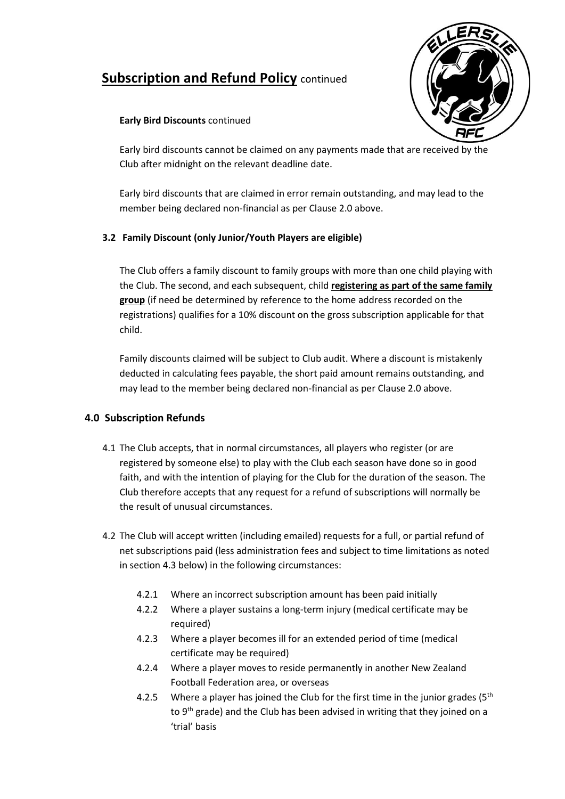# **Subscription and Refund Policy** continued



### **Early Bird Discounts** continued

Early bird discounts cannot be claimed on any payments made that are received by the Club after midnight on the relevant deadline date.

Early bird discounts that are claimed in error remain outstanding, and may lead to the member being declared non-financial as per Clause 2.0 above.

## **3.2 Family Discount (only Junior/Youth Players are eligible)**

The Club offers a family discount to family groups with more than one child playing with the Club. The second, and each subsequent, child **registering as part of the same family group** (if need be determined by reference to the home address recorded on the registrations) qualifies for a 10% discount on the gross subscription applicable for that child.

Family discounts claimed will be subject to Club audit. Where a discount is mistakenly deducted in calculating fees payable, the short paid amount remains outstanding, and may lead to the member being declared non-financial as per Clause 2.0 above.

## **4.0 Subscription Refunds**

- 4.1 The Club accepts, that in normal circumstances, all players who register (or are registered by someone else) to play with the Club each season have done so in good faith, and with the intention of playing for the Club for the duration of the season. The Club therefore accepts that any request for a refund of subscriptions will normally be the result of unusual circumstances.
- 4.2 The Club will accept written (including emailed) requests for a full, or partial refund of net subscriptions paid (less administration fees and subject to time limitations as noted in section 4.3 below) in the following circumstances:
	- 4.2.1 Where an incorrect subscription amount has been paid initially
	- 4.2.2 Where a player sustains a long-term injury (medical certificate may be required)
	- 4.2.3 Where a player becomes ill for an extended period of time (medical certificate may be required)
	- 4.2.4 Where a player moves to reside permanently in another New Zealand Football Federation area, or overseas
	- 4.2.5 Where a player has joined the Club for the first time in the junior grades ( $5<sup>th</sup>$ to 9<sup>th</sup> grade) and the Club has been advised in writing that they joined on a 'trial' basis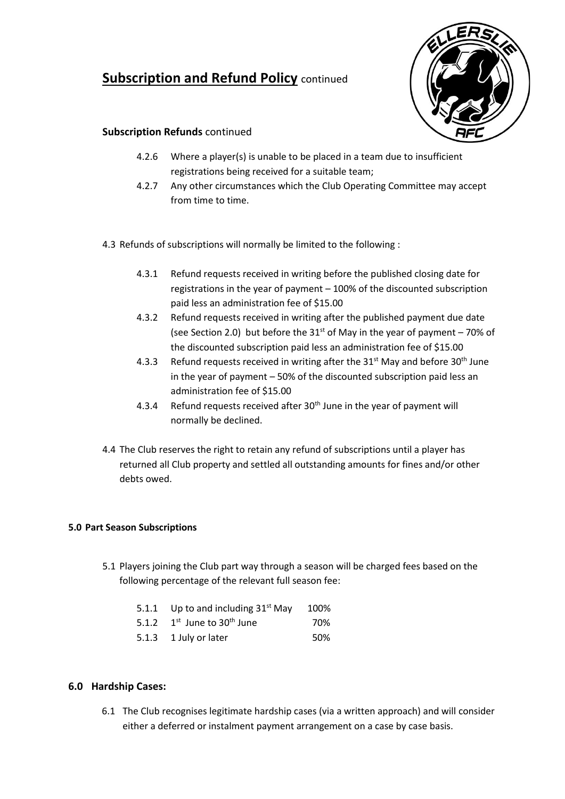## **Subscription and Refund Policy continued**



## **Subscription Refunds** continued

- 4.2.6 Where a player(s) is unable to be placed in a team due to insufficient registrations being received for a suitable team;
- 4.2.7 Any other circumstances which the Club Operating Committee may accept from time to time.

4.3 Refunds of subscriptions will normally be limited to the following :

- 4.3.1 Refund requests received in writing before the published closing date for registrations in the year of payment – 100% of the discounted subscription paid less an administration fee of \$15.00
- 4.3.2 Refund requests received in writing after the published payment due date (see Section 2.0) but before the  $31<sup>st</sup>$  of May in the year of payment – 70% of the discounted subscription paid less an administration fee of \$15.00
- 4.3.3 Refund requests received in writing after the  $31<sup>st</sup>$  May and before  $30<sup>th</sup>$  June in the year of payment – 50% of the discounted subscription paid less an administration fee of \$15.00
- 4.3.4 Refund requests received after 30<sup>th</sup> June in the year of payment will normally be declined.
- 4.4 The Club reserves the right to retain any refund of subscriptions until a player has returned all Club property and settled all outstanding amounts for fines and/or other debts owed.

#### **5.0 Part Season Subscriptions**

- 5.1 Players joining the Club part way through a season will be charged fees based on the following percentage of the relevant full season fee:
	- 5.1.1 Up to and including  $31<sup>st</sup>$  May 100%
	- 5.1.2  $1^{st}$  June to 30<sup>th</sup> June 70%
	- 5.1.3 1 July or later 50%

## **6.0 Hardship Cases:**

6.1 The Club recognises legitimate hardship cases (via a written approach) and will consider either a deferred or instalment payment arrangement on a case by case basis.